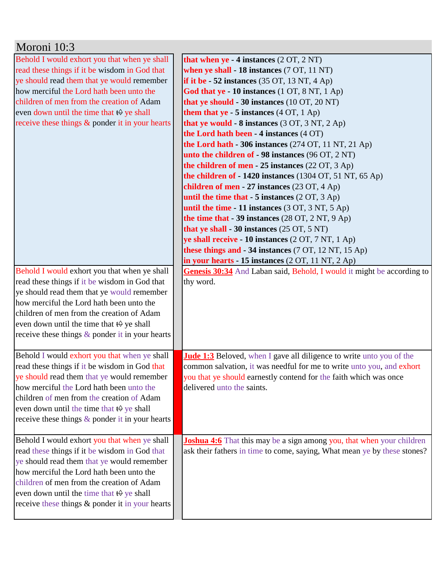| Moroni 10:3                                                                                                                                                                                                                                                                                                                                                                                                                                                                                                                                                                                                                                             |                                                                                                                                                                                                                                                                                                                                                                                                                                                                                                                                                                                                                                                                                                                                                                                                                                                                                                                                                                                                                                                                                                                                                                                     |
|---------------------------------------------------------------------------------------------------------------------------------------------------------------------------------------------------------------------------------------------------------------------------------------------------------------------------------------------------------------------------------------------------------------------------------------------------------------------------------------------------------------------------------------------------------------------------------------------------------------------------------------------------------|-------------------------------------------------------------------------------------------------------------------------------------------------------------------------------------------------------------------------------------------------------------------------------------------------------------------------------------------------------------------------------------------------------------------------------------------------------------------------------------------------------------------------------------------------------------------------------------------------------------------------------------------------------------------------------------------------------------------------------------------------------------------------------------------------------------------------------------------------------------------------------------------------------------------------------------------------------------------------------------------------------------------------------------------------------------------------------------------------------------------------------------------------------------------------------------|
| Behold I would exhort you that when ye shall<br>read these things if it be wisdom in God that<br>ye should read them that ye would remember<br>how merciful the Lord hath been unto the<br>children of men from the creation of Adam<br>even down until the time that <del>t</del> ♦ ye shall<br>receive these things $\&$ ponder it in your hearts<br>Behold I would exhort you that when ye shall<br>read these things if it be wisdom in God that<br>ye should read them that ye would remember<br>how merciful the Lord hath been unto the<br>children of men from the creation of Adam<br>even down until the time that $\leftrightarrow$ ye shall | that when $ye - 4$ instances $(2 OT, 2 NT)$<br>when ye shall - 18 instances (7 OT, 11 NT)<br>if it be $-52$ instances (35 OT, 13 NT, 4 Ap)<br>God that ye - 10 instances (1 OT, 8 NT, 1 Ap)<br>that ye should - 30 instances (10 OT, 20 NT)<br>them that $ye - 5$ instances $(4 OT, 1 Ap)$<br>that ye would $-8$ instances (3 OT, 3 NT, 2 Ap)<br>the Lord hath been - 4 instances (4 OT)<br>the Lord hath - 306 instances (274 OT, 11 NT, 21 Ap)<br>unto the children of - 98 instances (96 OT, 2 NT)<br>the children of men - 25 instances (22 OT, 3 Ap)<br>the children of - 1420 instances (1304 OT, 51 NT, 65 Ap)<br>children of men - 27 instances $(23 \text{ OT}, 4 \text{ Ap})$<br>until the time that $-5$ instances $(2 OT, 3 Ap)$<br>until the time - 11 instances $(3 OT, 3 NT, 5 Ap)$<br>the time that $-39$ instances (28 OT, 2 NT, 9 Ap)<br>that ye shall - 30 instances $(25 \text{ OT}, 5 \text{ NT})$<br>ye shall receive - 10 instances (2 OT, 7 NT, 1 Ap)<br>these things and - 34 instances (7 OT, 12 NT, 15 Ap)<br>in your hearts - 15 instances $(2 OT, 11 NT, 2 Ap)$<br>Genesis 30:34 And Laban said, Behold, I would it might be according to<br>thy word. |
| receive these things $\&$ ponder it in your hearts<br>Behold I would exhort you that when ye shall<br>read these things if it be wisdom in God that<br>ye should read them that ye would remember<br>how merciful the Lord hath been unto the<br>children of men from the creation of Adam<br>even down until the time that $\leftrightarrow$ ye shall<br>receive these things & ponder it in your hearts                                                                                                                                                                                                                                               | <b>Jude 1:3</b> Beloved, when I gave all diligence to write unto you of the<br>common salvation, it was needful for me to write unto you, and exhort<br>you that ye should earnestly contend for the faith which was once<br>delivered unto the saints.                                                                                                                                                                                                                                                                                                                                                                                                                                                                                                                                                                                                                                                                                                                                                                                                                                                                                                                             |
| Behold I would exhort you that when ye shall<br>read these things if it be wisdom in God that<br>ye should read them that ye would remember<br>how merciful the Lord hath been unto the<br>children of men from the creation of Adam<br>even down until the time that $\leftrightarrow$ ye shall<br>receive these things & ponder it in your hearts                                                                                                                                                                                                                                                                                                     | <b>Joshua 4:6</b> That this may be a sign among you, that when your children<br>ask their fathers in time to come, saying, What mean ye by these stones?                                                                                                                                                                                                                                                                                                                                                                                                                                                                                                                                                                                                                                                                                                                                                                                                                                                                                                                                                                                                                            |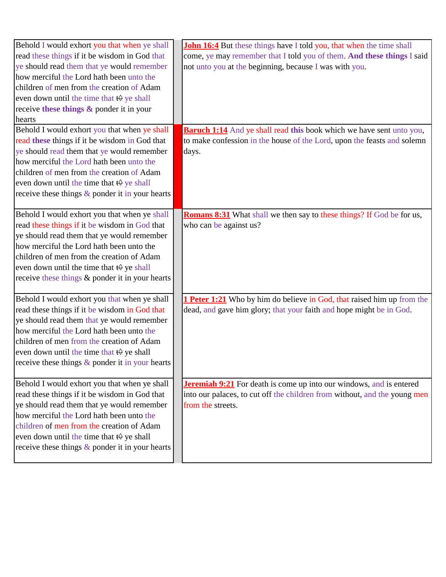| Behold I would exhort you that when ye shall             | <b>John 16:4</b> But these things have I told you, that when the time shall   |
|----------------------------------------------------------|-------------------------------------------------------------------------------|
| read these things if it be wisdom in God that            | come, ye may remember that I told you of them. And these things I said        |
| ye should read them that ye would remember               | not unto you at the beginning, because I was with you.                        |
| how merciful the Lord hath been unto the                 |                                                                               |
| children of men from the creation of Adam                |                                                                               |
| even down until the time that $\leftrightarrow$ ye shall |                                                                               |
| receive these things & ponder it in your                 |                                                                               |
| hearts                                                   |                                                                               |
| Behold I would exhort you that when ye shall             | <b>Baruch 1:14</b> And ye shall read this book which we have sent unto you,   |
| read these things if it be wisdom in God that            | to make confession in the house of the Lord, upon the feasts and solemn       |
| ye should read them that ye would remember               | days.                                                                         |
| how merciful the Lord hath been unto the                 |                                                                               |
| children of men from the creation of Adam                |                                                                               |
| even down until the time that $\leftrightarrow$ ye shall |                                                                               |
| receive these things $\&$ ponder it in your hearts       |                                                                               |
|                                                          |                                                                               |
| Behold I would exhort you that when ye shall             | <b>Romans 8:31</b> What shall we then say to these things? If God be for us,  |
| read these things if it be wisdom in God that            | who can be against us?                                                        |
| ye should read them that ye would remember               |                                                                               |
| how merciful the Lord hath been unto the                 |                                                                               |
| children of men from the creation of Adam                |                                                                               |
| even down until the time that $\leftrightarrow$ ye shall |                                                                               |
| receive these things & ponder it in your hearts          |                                                                               |
|                                                          |                                                                               |
| Behold I would exhort you that when ye shall             | <b>1 Peter 1:21</b> Who by him do believe in God, that raised him up from the |
| read these things if it be wisdom in God that            | dead, and gave him glory; that your faith and hope might be in God.           |
| ye should read them that ye would remember               |                                                                               |
| how merciful the Lord hath been unto the                 |                                                                               |
| children of men from the creation of Adam                |                                                                               |
| even down until the time that $\leftrightarrow$ ye shall |                                                                               |
| receive these things & ponder it in your hearts          |                                                                               |
|                                                          |                                                                               |
| Behold I would exhort you that when ye shall             | <b>Jeremiah 9:21</b> For death is come up into our windows, and is entered    |
| read these things if it be wisdom in God that            | into our palaces, to cut off the children from without, and the young men     |
| ye should read them that ye would remember               | from the streets.                                                             |
| how merciful the Lord hath been unto the                 |                                                                               |
| children of men from the creation of Adam                |                                                                               |
| even down until the time that $\theta$ ye shall          |                                                                               |
| receive these things & ponder it in your hearts          |                                                                               |
|                                                          |                                                                               |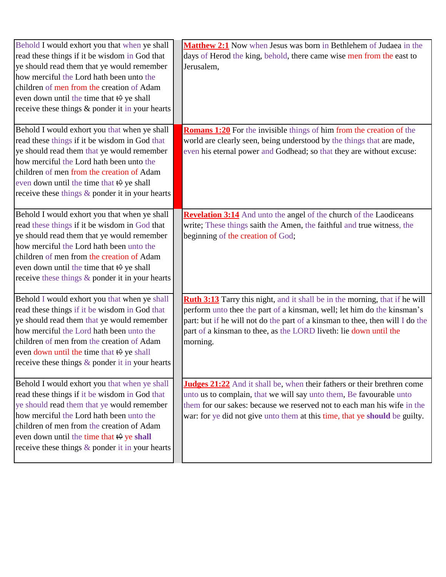| Behold I would exhort you that when ye shall<br>read these things if it be wisdom in God that<br>ye should read them that ye would remember<br>how merciful the Lord hath been unto the<br>children of men from the creation of Adam<br>even down until the time that $\leftrightarrow$ ye shall<br>receive these things & ponder it in your hearts    | Matthew 2:1 Now when Jesus was born in Bethlehem of Judaea in the<br>days of Herod the king, behold, there came wise men from the east to<br>Jerusalem,                                                                                                                                                                  |
|--------------------------------------------------------------------------------------------------------------------------------------------------------------------------------------------------------------------------------------------------------------------------------------------------------------------------------------------------------|--------------------------------------------------------------------------------------------------------------------------------------------------------------------------------------------------------------------------------------------------------------------------------------------------------------------------|
| Behold I would exhort you that when ye shall<br>read these things if it be wisdom in God that<br>ye should read them that ye would remember<br>how merciful the Lord hath been unto the<br>children of men from the creation of Adam<br>even down until the time that $\leftrightarrow$ ye shall<br>receive these things $\&$ ponder it in your hearts | <b>Romans 1:20</b> For the invisible things of him from the creation of the<br>world are clearly seen, being understood by the things that are made,<br>even his eternal power and Godhead; so that they are without excuse:                                                                                             |
| Behold I would exhort you that when ye shall<br>read these things if it be wisdom in God that<br>ye should read them that ye would remember<br>how merciful the Lord hath been unto the<br>children of men from the creation of Adam<br>even down until the time that $\theta$ ye shall<br>receive these things & ponder it in your hearts             | <b>Revelation 3:14</b> And unto the angel of the church of the Laodiceans<br>write; These things saith the Amen, the faithful and true witness, the<br>beginning of the creation of God;                                                                                                                                 |
| Behold I would exhort you that when ye shall<br>read these things if it be wisdom in God that<br>ye should read them that ye would remember<br>how merciful the Lord hath been unto the<br>children of men from the creation of Adam<br>even down until the time that $\leftrightarrow$ ye shall<br>receive these things $\&$ ponder it in your hearts | Ruth 3:13 Tarry this night, and it shall be in the morning, that if he will<br>perform unto thee the part of a kinsman, well; let him do the kinsman's<br>part: but if he will not do the part of a kinsman to thee, then will I do the<br>part of a kinsman to thee, as the LORD liveth: lie down until the<br>morning. |
| Behold I would exhort you that when ye shall<br>read these things if it be wisdom in God that<br>ye should read them that ye would remember<br>how merciful the Lord hath been unto the<br>children of men from the creation of Adam<br>even down until the time that $\theta$ ye shall<br>receive these things $&$ ponder it in your hearts           | <b>Judges 21:22</b> And it shall be, when their fathers or their brethren come<br>unto us to complain, that we will say unto them, Be favourable unto<br>them for our sakes: because we reserved not to each man his wife in the<br>war: for ye did not give unto them at this time, that ye should be guilty.           |